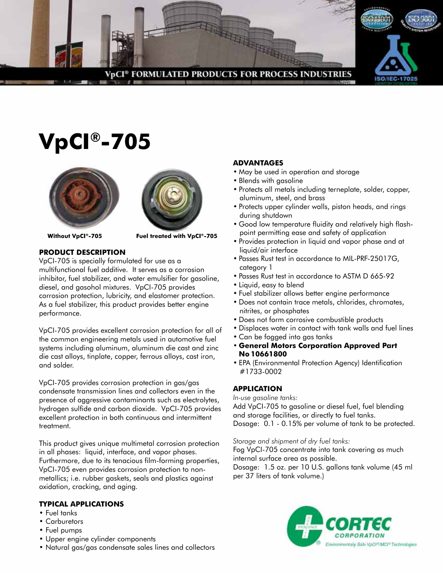

# **VpCI®-705**





**Without VpCI®-705 Fuel treated with VpCI®-705**

# **Product Description**

VpCI-705 is specially formulated for use as a multifunctional fuel additive. It serves as a corrosion inhibitor, fuel stabilizer, and water emulsifier for gasoline, diesel, and gasohol mixtures. VpCI-705 provides corrosion protection, lubricity, and elastomer protection. As a fuel stabilizer, this product provides better engine performance.

VpCI-705 provides excellent corrosion protection for all of the common engineering metals used in automotive fuel systems including aluminum, aluminum die cast and zinc die cast alloys, tinplate, copper, ferrous alloys, cast iron, and solder.

VpCI-705 provides corrosion protection in gas/gas condensate transmission lines and collectors even in the presence of aggressive contaminants such as electrolytes, hydrogen sulfide and carbon dioxide. VpCI-705 provides excellent protection in both continuous and intermittent treatment.

This product gives unique multimetal corrosion protection in all phases: liquid, interface, and vapor phases. Furthermore, due to its tenacious film-forming properties, VpCI-705 even provides corrosion protection to nonmetallics; i.e. rubber gaskets, seals and plastics against oxidation, cracking, and aging.

### **TYPICAL APPLICATIONS**

- Fuel tanks
- Carburetors
- Fuel pumps
- Upper engine cylinder components
- Natural gas/gas condensate sales lines and collectors

## **ADVANTAGES**

- May be used in operation and storage
- Blends with gasoline
- Protects all metals including terneplate, solder, copper, aluminum, steel, and brass
- Protects upper cylinder walls, piston heads, and rings during shutdown
- Good low temperature fluidity and relatively high flashpoint permitting ease and safety of application
- Provides protection in liquid and vapor phase and at liquid/air interface
- Passes Rust test in accordance to MIL-PRF-25017G, category 1
- Passes Rust test in accordance to ASTM D 665-92
- Liquid, easy to blend
- Fuel stabilizer allows better engine performance
- Does not contain trace metals, chlorides, chromates, nitrites, or phosphates
- Does not form corrosive combustible products
- Displaces water in contact with tank walls and fuel lines
- Can be fogged into gas tanks
- **• General Motors Corporation Approved Part No 10661800**
- EPA (Environmental Protection Agency) Identification #1733-0002

#### **APPLICATION**

*In-use gasoline tanks:*

Add VpCI-705 to gasoline or diesel fuel, fuel blending and storage facilities, or directly to fuel tanks. Dosage: 0.1 - 0.15% per volume of tank to be protected.

*Storage and shipment of dry fuel tanks:*

Fog VpCI-705 concentrate into tank covering as much internal surface area as possible.

Dosage: 1.5 oz. per 10 U.S. gallons tank volume (45 ml per 37 liters of tank volume.)